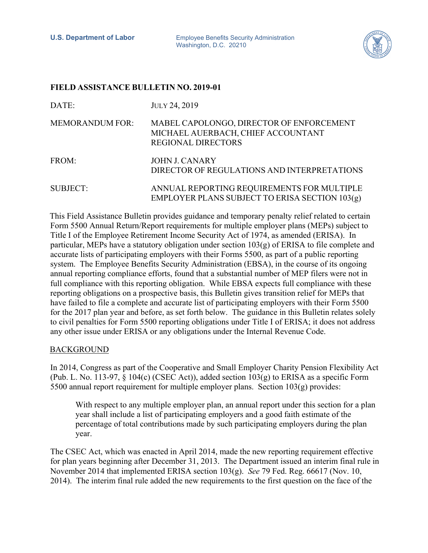

## **FIELD ASSISTANCE BULLETIN NO. 2019-01**

| DATE:                  | JULY 24, 2019                                                                                               |
|------------------------|-------------------------------------------------------------------------------------------------------------|
| <b>MEMORANDUM FOR:</b> | MABEL CAPOLONGO, DIRECTOR OF ENFORCEMENT<br>MICHAEL AUERBACH, CHIEF ACCOUNTANT<br><b>REGIONAL DIRECTORS</b> |
| FROM:                  | JOHN J. CANARY<br>DIRECTOR OF REGULATIONS AND INTERPRETATIONS                                               |
| <b>SUBJECT:</b>        | ANNUAL REPORTING REQUIREMENTS FOR MULTIPLE<br>EMPLOYER PLANS SUBJECT TO ERISA SECTION 103(g)                |

This Field Assistance Bulletin provides guidance and temporary penalty relief related to certain Form 5500 Annual Return/Report requirements for multiple employer plans (MEPs) subject to Title I of the Employee Retirement Income Security Act of 1974, as amended (ERISA). In particular, MEPs have a statutory obligation under section 103(g) of ERISA to file complete and accurate lists of participating employers with their Forms 5500, as part of a public reporting system. The Employee Benefits Security Administration (EBSA), in the course of its ongoing annual reporting compliance efforts, found that a substantial number of MEP filers were not in full compliance with this reporting obligation. While EBSA expects full compliance with these reporting obligations on a prospective basis, this Bulletin gives transition relief for MEPs that have failed to file a complete and accurate list of participating employers with their Form 5500 for the 2017 plan year and before, as set forth below. The guidance in this Bulletin relates solely to civil penalties for Form 5500 reporting obligations under Title I of ERISA; it does not address any other issue under ERISA or any obligations under the Internal Revenue Code.

## BACKGROUND

In 2014, Congress as part of the Cooperative and Small Employer Charity Pension Flexibility Act (Pub. L. No. 113-97,  $\S$  104(c) (CSEC Act)), added section 103(g) to ERISA as a specific Form 5500 annual report requirement for multiple employer plans. Section 103(g) provides:

With respect to any multiple employer plan, an annual report under this section for a plan year shall include a list of participating employers and a good faith estimate of the percentage of total contributions made by such participating employers during the plan year.

The CSEC Act, which was enacted in April 2014, made the new reporting requirement effective for plan years beginning after December 31, 2013. The Department issued an interim final rule in November 2014 that implemented ERISA section 103(g). *See* 79 Fed. Reg. 66617 (Nov. 10, 2014). The interim final rule added the new requirements to the first question on the face of the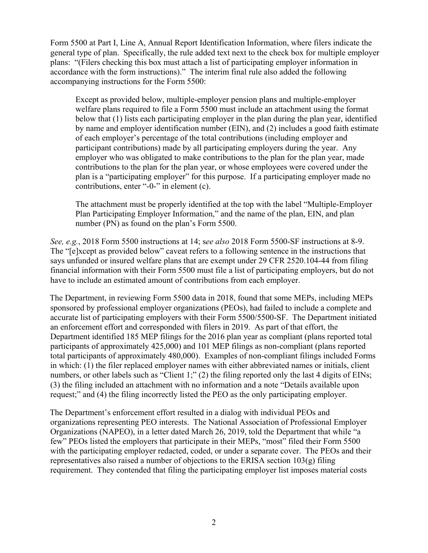Form 5500 at Part I, Line A, Annual Report Identification Information, where filers indicate the general type of plan. Specifically, the rule added text next to the check box for multiple employer plans: "(Filers checking this box must attach a list of participating employer information in accordance with the form instructions)." The interim final rule also added the following accompanying instructions for the Form 5500:

Except as provided below, multiple-employer pension plans and multiple-employer welfare plans required to file a Form 5500 must include an attachment using the format below that (1) lists each participating employer in the plan during the plan year, identified by name and employer identification number (EIN), and (2) includes a good faith estimate of each employer's percentage of the total contributions (including employer and participant contributions) made by all participating employers during the year. Any employer who was obligated to make contributions to the plan for the plan year, made contributions to the plan for the plan year, or whose employees were covered under the plan is a "participating employer" for this purpose. If a participating employer made no contributions, enter "-0-" in element (c).

The attachment must be properly identified at the top with the label "Multiple-Employer Plan Participating Employer Information," and the name of the plan, EIN, and plan number (PN) as found on the plan's Form 5500.

*See, e.g.*, 2018 Form 5500 instructions at 14; s*ee also* 2018 Form 5500-SF instructions at 8-9. The "[e]xcept as provided below" caveat refers to a following sentence in the instructions that says unfunded or insured welfare plans that are exempt under 29 CFR 2520.104-44 from filing financial information with their Form 5500 must file a list of participating employers, but do not have to include an estimated amount of contributions from each employer.

The Department, in reviewing Form 5500 data in 2018, found that some MEPs, including MEPs sponsored by professional employer organizations (PEOs), had failed to include a complete and accurate list of participating employers with their Form 5500/5500-SF. The Department initiated an enforcement effort and corresponded with filers in 2019. As part of that effort, the Department identified 185 MEP filings for the 2016 plan year as compliant (plans reported total participants of approximately 425,000) and 101 MEP filings as non-compliant (plans reported total participants of approximately 480,000). Examples of non-compliant filings included Forms in which: (1) the filer replaced employer names with either abbreviated names or initials, client numbers, or other labels such as "Client 1;" (2) the filing reported only the last 4 digits of EINs; (3) the filing included an attachment with no information and a note "Details available upon request;" and (4) the filing incorrectly listed the PEO as the only participating employer.

The Department's enforcement effort resulted in a dialog with individual PEOs and organizations representing PEO interests. The National Association of Professional Employer Organizations (NAPEO), in a letter dated March 26, 2019, told the Department that while "a few" PEOs listed the employers that participate in their MEPs, "most" filed their Form 5500 with the participating employer redacted, coded, or under a separate cover. The PEOs and their representatives also raised a number of objections to the ERISA section  $103(g)$  filing requirement. They contended that filing the participating employer list imposes material costs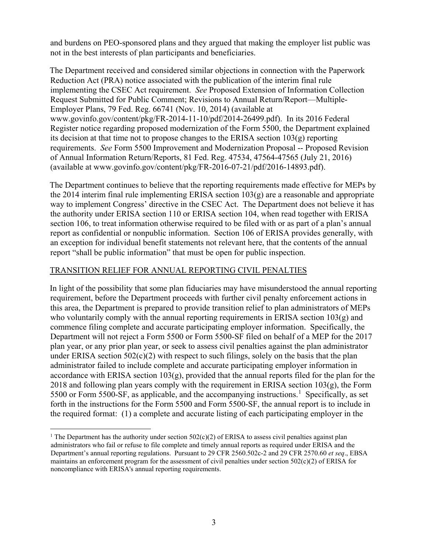and burdens on PEO-sponsored plans and they argued that making the employer list public was not in the best interests of plan participants and beneficiaries.

The Department received and considered similar objections in connection with the Paperwork Reduction Act (PRA) notice associated with the publication of the interim final rule implementing the CSEC Act requirement. *See* Proposed Extension of Information Collection Request Submitted for Public Comment; Revisions to Annual Return/Report—Multiple-Employer Plans, 79 Fed. Reg. 66741 (Nov. 10, 2014) (available at www.govinfo.gov/content/pkg/FR-2014-11-10/pdf/2014-26499.pdf). In its 2016 Federal Register notice regarding proposed modernization of the Form 5500, the Department explained its decision at that time not to propose changes to the ERISA section 103(g) reporting requirements. *See* Form 5500 Improvement and Modernization Proposal -- Proposed Revision of Annual Information Return/Reports, 81 Fed. Reg. 47534, 47564-47565 (July 21, 2016) (available at www.govinfo.gov/content/pkg/FR-2016-07-21/pdf/2016-14893.pdf).

The Department continues to believe that the reporting requirements made effective for MEPs by the 2014 interim final rule implementing ERISA section  $103(g)$  are a reasonable and appropriate way to implement Congress' directive in the CSEC Act. The Department does not believe it has the authority under ERISA section 110 or ERISA section 104, when read together with ERISA section 106, to treat information otherwise required to be filed with or as part of a plan's annual report as confidential or nonpublic information. Section 106 of ERISA provides generally, with an exception for individual benefit statements not relevant here, that the contents of the annual report "shall be public information" that must be open for public inspection.

## TRANSITION RELIEF FOR ANNUAL REPORTING CIVIL PENALTIES

In light of the possibility that some plan fiduciaries may have misunderstood the annual reporting requirement, before the Department proceeds with further civil penalty enforcement actions in this area, the Department is prepared to provide transition relief to plan administrators of MEPs who voluntarily comply with the annual reporting requirements in ERISA section  $103(g)$  and commence filing complete and accurate participating employer information. Specifically, the Department will not reject a Form 5500 or Form 5500-SF filed on behalf of a MEP for the 2017 plan year, or any prior plan year, or seek to assess civil penalties against the plan administrator under ERISA section  $502(c)(2)$  with respect to such filings, solely on the basis that the plan administrator failed to include complete and accurate participating employer information in accordance with ERISA section  $103(g)$ , provided that the annual reports filed for the plan for the  $2018$  and following plan years comply with the requirement in ERISA section  $103(g)$ , the Form 5500 or Form 5500-SF, as applicable, and the accompanying instructions.<sup>[1](#page-2-0)</sup> Specifically, as set forth in the instructions for the Form 5500 and Form 5500-SF, the annual report is to include in the required format: (1) a complete and accurate listing of each participating employer in the

<span id="page-2-0"></span><sup>&</sup>lt;sup>1</sup> The Department has the authority under section  $502(c)(2)$  of ERISA to assess civil penalties against plan administrators who fail or refuse to file complete and timely annual reports as required under ERISA and the Department's annual reporting regulations. Pursuant to 29 CFR 2560.502c-2 and 29 CFR 2570.60 *et seq*., EBSA maintains an enforcement program for the assessment of civil penalties under section 502(c)(2) of ERISA for noncompliance with ERISA's annual reporting requirements.